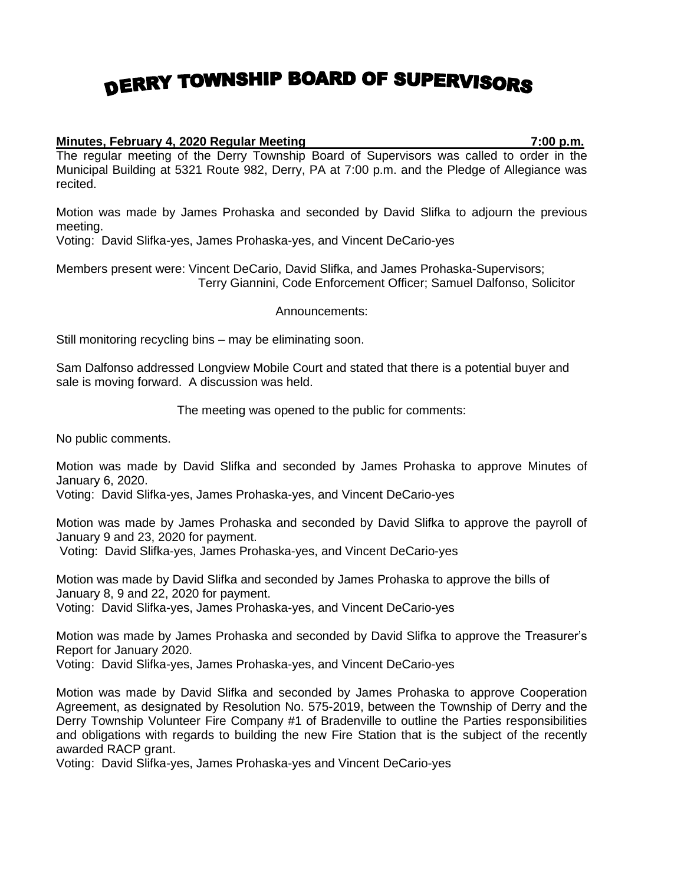## DERRY TOWNSHIP BOARD OF SUPERVISORS

## **Minutes, February 4, 2020 Regular Meeting 7:00 p.m.**

The regular meeting of the Derry Township Board of Supervisors was called to order in the Municipal Building at 5321 Route 982, Derry, PA at 7:00 p.m. and the Pledge of Allegiance was recited.

Motion was made by James Prohaska and seconded by David Slifka to adjourn the previous meeting.

Voting: David Slifka-yes, James Prohaska-yes, and Vincent DeCario-yes

Members present were: Vincent DeCario, David Slifka, and James Prohaska-Supervisors; Terry Giannini, Code Enforcement Officer; Samuel Dalfonso, Solicitor

Announcements:

Still monitoring recycling bins – may be eliminating soon.

Sam Dalfonso addressed Longview Mobile Court and stated that there is a potential buyer and sale is moving forward. A discussion was held.

The meeting was opened to the public for comments:

No public comments.

Motion was made by David Slifka and seconded by James Prohaska to approve Minutes of January 6, 2020.

Voting: David Slifka-yes, James Prohaska-yes, and Vincent DeCario-yes

Motion was made by James Prohaska and seconded by David Slifka to approve the payroll of January 9 and 23, 2020 for payment.

Voting: David Slifka-yes, James Prohaska-yes, and Vincent DeCario-yes

Motion was made by David Slifka and seconded by James Prohaska to approve the bills of January 8, 9 and 22, 2020 for payment.

Voting: David Slifka-yes, James Prohaska-yes, and Vincent DeCario-yes

Motion was made by James Prohaska and seconded by David Slifka to approve the Treasurer's Report for January 2020.

Voting: David Slifka-yes, James Prohaska-yes, and Vincent DeCario-yes

Motion was made by David Slifka and seconded by James Prohaska to approve Cooperation Agreement, as designated by Resolution No. 575-2019, between the Township of Derry and the Derry Township Volunteer Fire Company #1 of Bradenville to outline the Parties responsibilities and obligations with regards to building the new Fire Station that is the subject of the recently awarded RACP grant.

Voting: David Slifka-yes, James Prohaska-yes and Vincent DeCario-yes